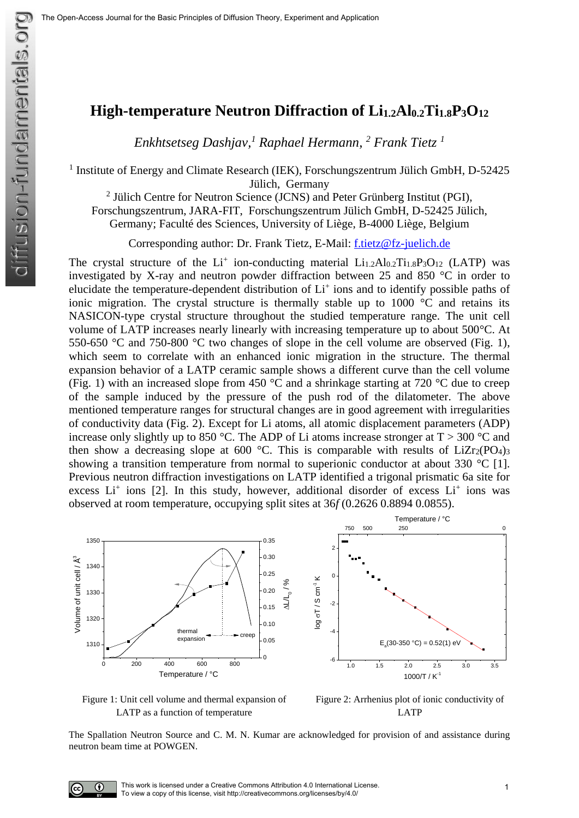## **High-temperature Neutron Diffraction of Li1.2Al0.2Ti1.8P3O<sup>12</sup>**

*Enkhtsetseg Dashjav, <sup>1</sup> Raphael Hermann, <sup>2</sup> Frank Tietz <sup>1</sup>*

<sup>1</sup> Institute of Energy and Climate Research (IEK), Forschungszentrum Jülich GmbH, D-52425 Jülich, Germany

<sup>2</sup> Jülich Centre for Neutron Science (JCNS) and Peter Grünberg Institut (PGI),

Forschungszentrum, JARA-FIT, Forschungszentrum Jülich GmbH, D-52425 Jülich,

Germany; Faculté des Sciences, University of Liège, B-4000 Liège, Belgium

Corresponding author: Dr. Frank Tietz, E-Mail: [f.tietz@fz-juelich.de](mailto:f.tietz@fz-juelich.de)

The crystal structure of the  $Li^+$  ion-conducting material  $Li_{1.2}Al_{0.2}Ti_{1.8}P_3O_{12}$  (LATP) was investigated by X-ray and neutron powder diffraction between 25 and 850 °C in order to elucidate the temperature-dependent distribution of Li<sup>+</sup> ions and to identify possible paths of ionic migration. The crystal structure is thermally stable up to  $1000$   $\degree$ C and retains its NASICON-type crystal structure throughout the studied temperature range. The unit cell volume of LATP increases nearly linearly with increasing temperature up to about 500°C. At 550-650 °C and 750-800 °C two changes of slope in the cell volume are observed (Fig. 1), which seem to correlate with an enhanced ionic migration in the structure. The thermal expansion behavior of a LATP ceramic sample shows a different curve than the cell volume (Fig. 1) with an increased slope from 450  $\degree$ C and a shrinkage starting at 720  $\degree$ C due to creep of the sample induced by the pressure of the push rod of the dilatometer. The above mentioned temperature ranges for structural changes are in good agreement with irregularities of conductivity data (Fig. 2). Except for Li atoms, all atomic displacement parameters (ADP) increase only slightly up to 850 °C. The ADP of Li atoms increase stronger at  $T > 300$  °C and then show a decreasing slope at 600 °C. This is comparable with results of  $LiZr2(PO4)3$ showing a transition temperature from normal to superionic conductor at about 330 °C [1]. Previous neutron diffraction investigations on LATP identified a trigonal prismatic 6a site for excess  $Li<sup>+</sup>$  ions [2]. In this study, however, additional disorder of excess  $Li<sup>+</sup>$  ions was observed at room temperature, occupying split sites at 36*f* (0.2626 0.8894 0.0855).



## Figure 1: Unit cell volume and thermal expansion of LATP as a function of temperature

Figure 2: Arrhenius plot of ionic conductivity of LATP

The Spallation Neutron Source and C. M. N. Kumar are acknowledged for provision of and assistance during neutron beam time at POWGEN.